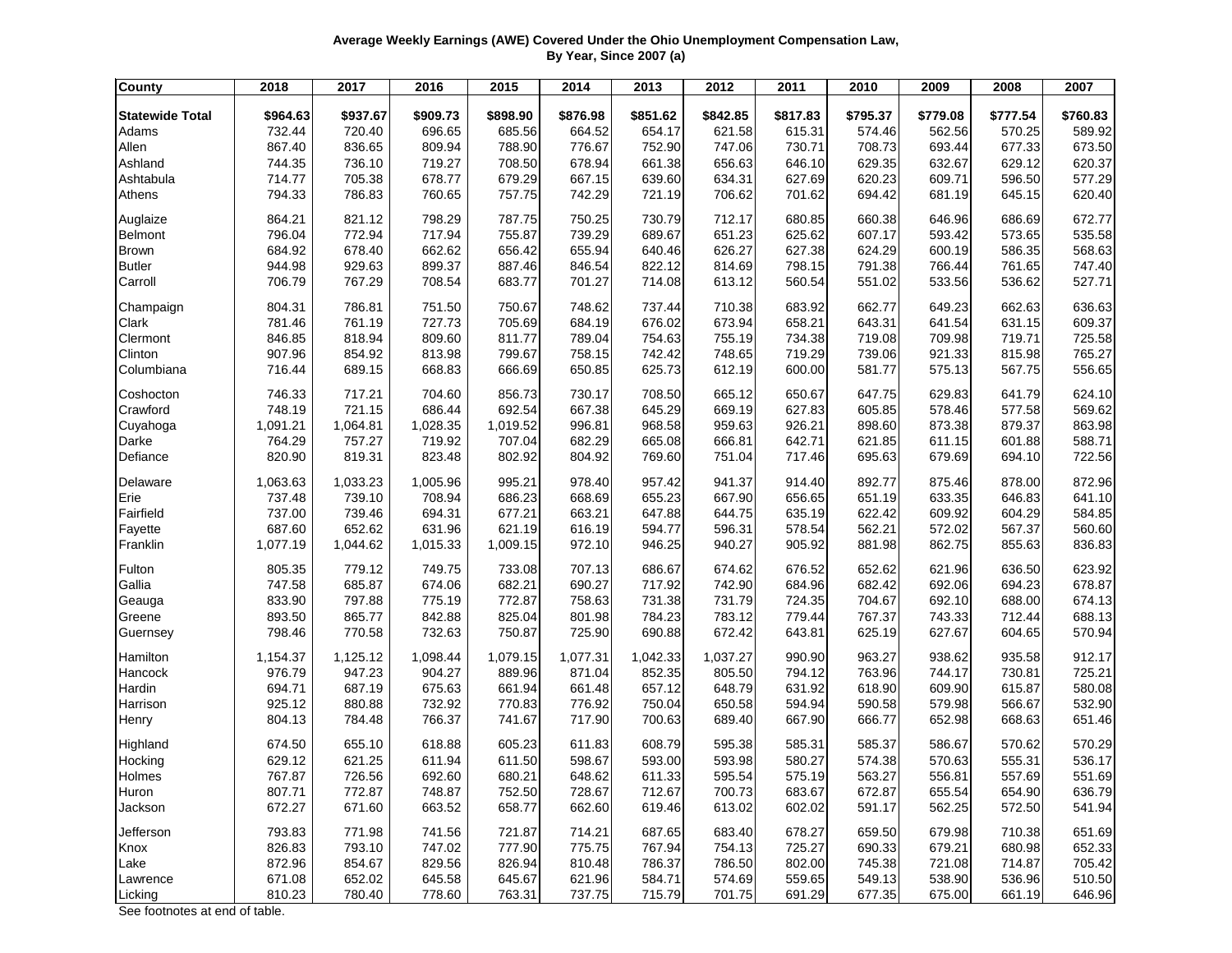## **Average Weekly Earnings (AWE) Covered Under the Ohio Unemployment Compensation Law, By Year, Since 2007 (a)**

| <b>County</b>          | 2018     | 2017     | 2016     | 2015     | 2014     | 2013     | 2012     | 2011     | 2010     | 2009     | 2008     | 2007     |
|------------------------|----------|----------|----------|----------|----------|----------|----------|----------|----------|----------|----------|----------|
| <b>Statewide Total</b> | \$964.63 | \$937.67 | \$909.73 | \$898.90 | \$876.98 | \$851.62 | \$842.85 | \$817.83 | \$795.37 | \$779.08 | \$777.54 | \$760.83 |
| Adams                  | 732.44   | 720.40   | 696.65   | 685.56   | 664.52   | 654.17   | 621.58   | 615.31   | 574.46   | 562.56   | 570.25   | 589.92   |
| Allen                  | 867.40   | 836.65   | 809.94   | 788.90   | 776.67   | 752.90   | 747.06   | 730.71   | 708.73   | 693.44   | 677.33   | 673.50   |
| Ashland                | 744.35   | 736.10   | 719.27   | 708.50   | 678.94   | 661.38   | 656.63   | 646.10   | 629.35   | 632.67   | 629.12   | 620.37   |
| Ashtabula              | 714.77   | 705.38   | 678.77   | 679.29   | 667.15   | 639.60   | 634.31   | 627.69   | 620.23   | 609.71   | 596.50   | 577.29   |
| Athens                 | 794.33   | 786.83   | 760.65   | 757.75   | 742.29   | 721.19   | 706.62   | 701.62   | 694.42   | 681.19   | 645.15   | 620.40   |
| Auglaize               | 864.21   | 821.12   | 798.29   | 787.75   | 750.25   | 730.79   | 712.17   | 680.85   | 660.38   | 646.96   | 686.69   | 672.77   |
| Belmont                | 796.04   | 772.94   | 717.94   | 755.87   | 739.29   | 689.67   | 651.23   | 625.62   | 607.17   | 593.42   | 573.65   | 535.58   |
| <b>Brown</b>           | 684.92   | 678.40   | 662.62   | 656.42   | 655.94   | 640.46   | 626.27   | 627.38   | 624.29   | 600.19   | 586.35   | 568.63   |
| <b>Butler</b>          | 944.98   | 929.63   | 899.37   | 887.46   | 846.54   | 822.12   | 814.69   | 798.15   | 791.38   | 766.44   | 761.65   | 747.40   |
| Carroll                | 706.79   | 767.29   | 708.54   | 683.77   | 701.27   | 714.08   | 613.12   | 560.54   | 551.02   | 533.56   | 536.62   | 527.71   |
| Champaign              | 804.31   | 786.81   | 751.50   | 750.67   | 748.62   | 737.44   | 710.38   | 683.92   | 662.77   | 649.23   | 662.63   | 636.63   |
| Clark                  | 781.46   | 761.19   | 727.73   | 705.69   | 684.19   | 676.02   | 673.94   | 658.21   | 643.31   | 641.54   | 631.15   | 609.37   |
| Clermont               | 846.85   | 818.94   | 809.60   | 811.77   | 789.04   | 754.63   | 755.19   | 734.38   | 719.08   | 709.98   | 719.71   | 725.58   |
| Clinton                | 907.96   | 854.92   | 813.98   | 799.67   | 758.15   | 742.42   | 748.65   | 719.29   | 739.06   | 921.33   | 815.98   | 765.27   |
| Columbiana             | 716.44   | 689.15   | 668.83   | 666.69   | 650.85   | 625.73   | 612.19   | 600.00   | 581.77   | 575.13   | 567.75   | 556.65   |
| Coshocton              | 746.33   | 717.21   | 704.60   | 856.73   | 730.17   | 708.50   | 665.12   | 650.67   | 647.75   | 629.83   | 641.79   | 624.10   |
| Crawford               | 748.19   | 721.15   | 686.44   | 692.54   | 667.38   | 645.29   | 669.19   | 627.83   | 605.85   | 578.46   | 577.58   | 569.62   |
| Cuyahoga               | 1,091.21 | 1,064.81 | 1,028.35 | 1,019.52 | 996.81   | 968.58   | 959.63   | 926.21   | 898.60   | 873.38   | 879.37   | 863.98   |
| Darke                  | 764.29   | 757.27   | 719.92   | 707.04   | 682.29   | 665.08   | 666.81   | 642.71   | 621.85   | 611.15   | 601.88   | 588.71   |
| Defiance               | 820.90   | 819.31   | 823.48   | 802.92   | 804.92   | 769.60   | 751.04   | 717.46   | 695.63   | 679.69   | 694.10   | 722.56   |
| Delaware               | 1,063.63 | 1,033.23 | 1,005.96 | 995.21   | 978.40   | 957.42   | 941.37   | 914.40   | 892.77   | 875.46   | 878.00   | 872.96   |
| Erie                   | 737.48   | 739.10   | 708.94   | 686.23   | 668.69   | 655.23   | 667.90   | 656.65   | 651.19   | 633.35   | 646.83   | 641.10   |
| Fairfield              | 737.00   | 739.46   | 694.31   | 677.21   | 663.21   | 647.88   | 644.75   | 635.19   | 622.42   | 609.92   | 604.29   | 584.85   |
| Fayette                | 687.60   | 652.62   | 631.96   | 621.19   | 616.19   | 594.77   | 596.31   | 578.54   | 562.21   | 572.02   | 567.37   | 560.60   |
| Franklin               | 1,077.19 | 1,044.62 | 1,015.33 | 1,009.15 | 972.10   | 946.25   | 940.27   | 905.92   | 881.98   | 862.75   | 855.63   | 836.83   |
| Fulton                 | 805.35   | 779.12   | 749.75   | 733.08   | 707.13   | 686.67   | 674.62   | 676.52   | 652.62   | 621.96   | 636.50   | 623.92   |
| Gallia                 | 747.58   | 685.87   | 674.06   | 682.21   | 690.27   | 717.92   | 742.90   | 684.96   | 682.42   | 692.06   | 694.23   | 678.87   |
| Geauga                 | 833.90   | 797.88   | 775.19   | 772.87   | 758.63   | 731.38   | 731.79   | 724.35   | 704.67   | 692.10   | 688.00   | 674.13   |
| Greene                 | 893.50   | 865.77   | 842.88   | 825.04   | 801.98   | 784.23   | 783.12   | 779.44   | 767.37   | 743.33   | 712.44   | 688.13   |
| Guernsey               | 798.46   | 770.58   | 732.63   | 750.87   | 725.90   | 690.88   | 672.42   | 643.81   | 625.19   | 627.67   | 604.65   | 570.94   |
| Hamilton               | 1,154.37 | 1,125.12 | 1,098.44 | 1,079.15 | 1,077.31 | 1,042.33 | 1,037.27 | 990.90   | 963.27   | 938.62   | 935.58   | 912.17   |
| Hancock                | 976.79   | 947.23   | 904.27   | 889.96   | 871.04   | 852.35   | 805.50   | 794.12   | 763.96   | 744.17   | 730.81   | 725.21   |
| Hardin                 | 694.71   | 687.19   | 675.63   | 661.94   | 661.48   | 657.12   | 648.79   | 631.92   | 618.90   | 609.90   | 615.87   | 580.08   |
| Harrison               | 925.12   | 880.88   | 732.92   | 770.83   | 776.92   | 750.04   | 650.58   | 594.94   | 590.58   | 579.98   | 566.67   | 532.90   |
| Henry                  | 804.13   | 784.48   | 766.37   | 741.67   | 717.90   | 700.63   | 689.40   | 667.90   | 666.77   | 652.98   | 668.63   | 651.46   |
| Highland               | 674.50   | 655.10   | 618.88   | 605.23   | 611.83   | 608.79   | 595.38   | 585.31   | 585.37   | 586.67   | 570.62   | 570.29   |
| Hocking                | 629.12   | 621.25   | 611.94   | 611.50   | 598.67   | 593.00   | 593.98   | 580.27   | 574.38   | 570.63   | 555.31   | 536.17   |
| Holmes                 | 767.87   | 726.56   | 692.60   | 680.21   | 648.62   | 611.33   | 595.54   | 575.19   | 563.27   | 556.81   | 557.69   | 551.69   |
| Huron                  | 807.71   | 772.87   | 748.87   | 752.50   | 728.67   | 712.67   | 700.73   | 683.67   | 672.87   | 655.54   | 654.90   | 636.79   |
| Jackson                | 672.27   | 671.60   | 663.52   | 658.77   | 662.60   | 619.46   | 613.02   | 602.02   | 591.17   | 562.25   | 572.50   | 541.94   |
| Jefferson              | 793.83   | 771.98   | 741.56   | 721.87   | 714.21   | 687.65   | 683.40   | 678.27   | 659.50   | 679.98   | 710.38   | 651.69   |
| Knox                   | 826.83   | 793.10   | 747.02   | 777.90   | 775.75   | 767.94   | 754.13   | 725.27   | 690.33   | 679.21   | 680.98   | 652.33   |
| Lake                   | 872.96   | 854.67   | 829.56   | 826.94   | 810.48   | 786.37   | 786.50   | 802.00   | 745.38   | 721.08   | 714.87   | 705.42   |
| Lawrence               | 671.08   | 652.02   | 645.58   | 645.67   | 621.96   | 584.71   | 574.69   | 559.65   | 549.13   | 538.90   | 536.96   | 510.50   |
| Licking                | 810.23   | 780.40   | 778.60   | 763.31   | 737.75   | 715.79   | 701.75   | 691.29   | 677.35   | 675.00   | 661.19   | 646.96   |

See footnotes at end of table.